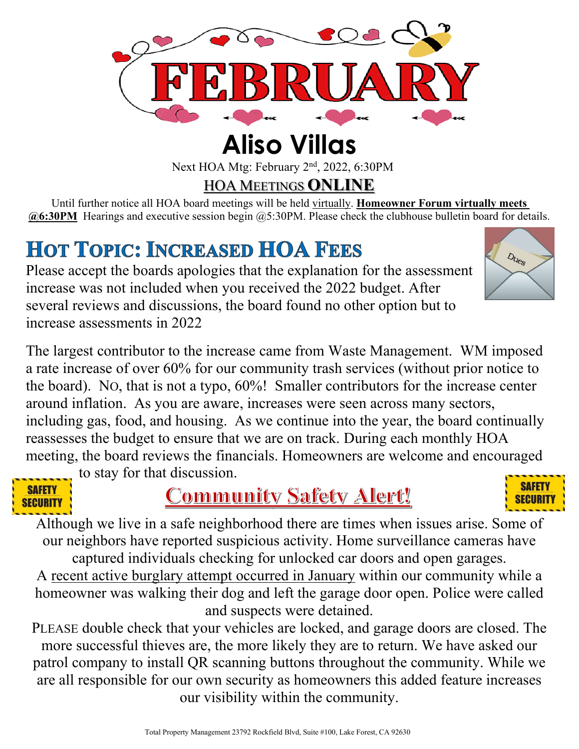

Next HOA Mtg: February 2<sup>nd</sup>, 2022, 6:30PM

HOA MEETINGS **ONLINE**

Until further notice all HOA board meetings will be held virtually. **Homeowner Forum virtually meets @6:30PM** Hearings and executive session begin @5:30PM. Please check the clubhouse bulletin board for details.

## **HOT TOPIC: INCREASED HOA FEES**

Please accept the boards apologies that the explanation for the assessment increase was not included when you received the 2022 budget. After several reviews and discussions, the board found no other option but to increase assessments in 2022

The largest contributor to the increase came from Waste Management. WM imposed a rate increase of over 60% for our community trash services (without prior notice to the board). NO, that is not a typo, 60%! Smaller contributors for the increase center around inflation. As you are aware, increases were seen across many sectors, including gas, food, and housing. As we continue into the year, the board continually reassesses the budget to ensure that we are on track. During each monthly HOA meeting, the board reviews the financials. Homeowners are welcome and encouraged



to stay for that discussion.

### **Community Safety Alert!**



Dues

Although we live in a safe neighborhood there are times when issues arise. Some of our neighbors have reported suspicious activity. Home surveillance cameras have captured individuals checking for unlocked car doors and open garages.

A recent active burglary attempt occurred in January within our community while a homeowner was walking their dog and left the garage door open. Police were called and suspects were detained.

PLEASE double check that your vehicles are locked, and garage doors are closed. The more successful thieves are, the more likely they are to return. We have asked our patrol company to install QR scanning buttons throughout the community. While we are all responsible for our own security as homeowners this added feature increases our visibility within the community.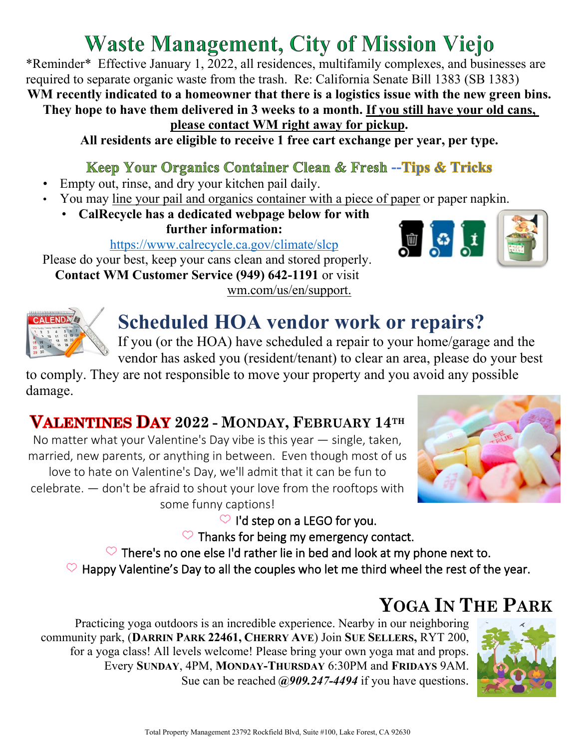## **Waste Management, City of Mission Viejo**

\*Reminder\* Effective January 1, 2022, all residences, multifamily complexes, and businesses are required to separate organic waste from the trash. Re: California Senate Bill 1383 (SB 1383) **WM recently indicated to a homeowner that there is a logistics issue with the new green bins.** 

**They hope to have them delivered in 3 weeks to a month. If you still have your old cans,** 

#### **please contact WM right away for pickup.**

**All residents are eligible to receive 1 free cart exchange per year, per type.**

#### **Keep Your Organics Container Clean & Fresh --Tips & Tricks**

- Empty out, rinse, and dry your kitchen pail daily.
- You may line your pail and organics container with a piece of paper or paper napkin.
	- **CalRecycle has a dedicated webpage below for with further information:**

<https://www.calrecycle.ca.gov/climate/slcp>

Please do your best, keep your cans clean and stored properly. **Contact WM Customer Service (949) 642-1191** or visit wm.com/us/en/support.





### **Scheduled HOA vendor work or repairs?**

If you (or the HOA) have scheduled a repair to your home/garage and the vendor has asked you (resident/tenant) to clear an area, please do your best

to comply. They are not responsible to move your property and you avoid any possible damage.

#### **2022 - MONDAY, FEBRUARY 14TH**

No matter what your Valentine's Day vibe is this year — single, taken, married, new parents, or anything in between. Even though most of us love to hate on Valentine's Day, we'll admit that it can be fun to celebrate. — don't be afraid to shout your love from the rooftops with some funny captions!



 $\heartsuit$  I'd step on a LEGO for you.

 $\heartsuit$  Thanks for being my emergency contact.

 $\heartsuit$  There's no one else I'd rather lie in bed and look at my phone next to.

 $\heartsuit$  Happy Valentine's Day to all the couples who let me third wheel the rest of the year.

#### **YOGA IN THE PARK**

Practicing yoga outdoors is an incredible experience. Nearby in our neighboring community park, (**DARRIN PARK 22461, CHERRY AVE**) Join **SUE SELLERS,** RYT 200, for a yoga class! All levels welcome! Please bring your own yoga mat and props. Every **SUNDAY**, 4PM, **MONDAY-THURSDAY** 6:30PM and **FRIDAYS** 9AM. Sue can be reached  $\omega$ 909.247-4494 if you have questions.